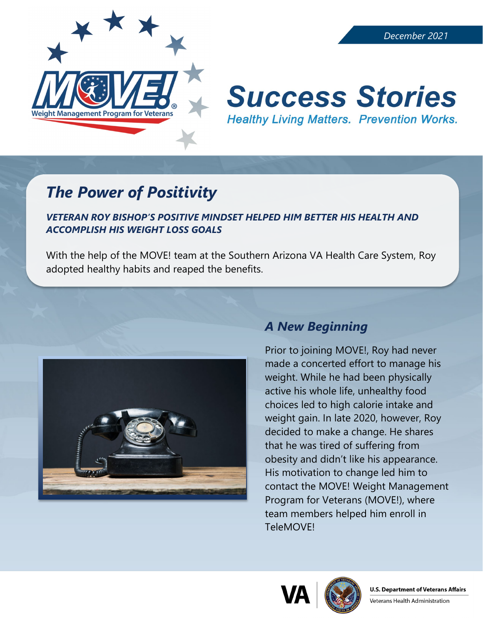

# **Success Stories Healthy Living Matters. Prevention Works.**

## *The Power of Positivity*

*VETERAN ROY BISHOP'S POSITIVE MINDSET HELPED HIM BETTER HIS HEALTH AND ACCOMPLISH HIS WEIGHT LOSS GOALS*

With the help of the MOVE! team at the Southern Arizona VA Health Care System, Roy adopted healthy habits and reaped the benefits.



### *A New Beginning*

Prior to joining MOVE!, Roy had never made a concerted effort to manage his weight. While he had been physically active his whole life, unhealthy food choices led to high calorie intake and weight gain. In late 2020, however, Roy decided to make a change. He shares that he was tired of suffering from obesity and didn't like his appearance. His motivation to change led him to contact the MOVE! Weight Management Program for Veterans (MOVE!), where team members helped him enroll in TeleMOVE!



Veterans Health Administration